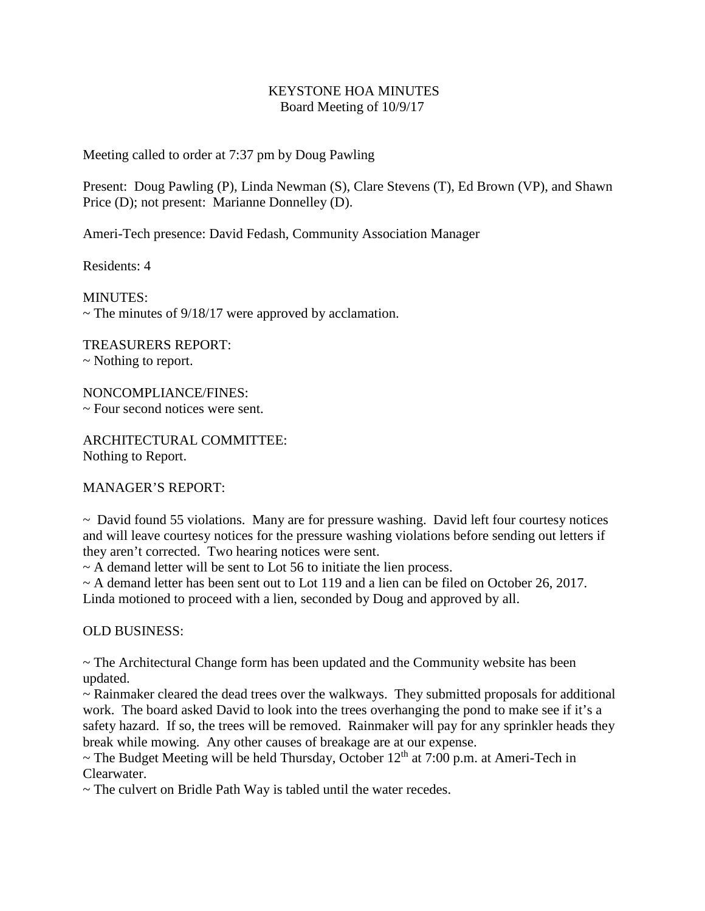## KEYSTONE HOA MINUTES Board Meeting of 10/9/17

Meeting called to order at 7:37 pm by Doug Pawling

Present: Doug Pawling (P), Linda Newman (S), Clare Stevens (T), Ed Brown (VP), and Shawn Price (D); not present: Marianne Donnelley (D).

Ameri-Tech presence: David Fedash, Community Association Manager

Residents: 4

MINUTES:  $\sim$  The minutes of 9/18/17 were approved by acclamation.

TREASURERS REPORT:

~ Nothing to report.

NONCOMPLIANCE/FINES: ~ Four second notices were sent.

ARCHITECTURAL COMMITTEE: Nothing to Report.

MANAGER'S REPORT:

 $\sim$  David found 55 violations. Many are for pressure washing. David left four courtesy notices and will leave courtesy notices for the pressure washing violations before sending out letters if they aren't corrected. Two hearing notices were sent.

 $\sim$  A demand letter will be sent to Lot 56 to initiate the lien process.

 $\sim$  A demand letter has been sent out to Lot 119 and a lien can be filed on October 26, 2017. Linda motioned to proceed with a lien, seconded by Doug and approved by all.

OLD BUSINESS:

 $\sim$  The Architectural Change form has been updated and the Community website has been updated.

 $\sim$  Rainmaker cleared the dead trees over the walkways. They submitted proposals for additional work. The board asked David to look into the trees overhanging the pond to make see if it's a safety hazard. If so, the trees will be removed. Rainmaker will pay for any sprinkler heads they break while mowing. Any other causes of breakage are at our expense.

 $\sim$  The Budget Meeting will be held Thursday, October 12<sup>th</sup> at 7:00 p.m. at Ameri-Tech in Clearwater.

~ The culvert on Bridle Path Way is tabled until the water recedes.